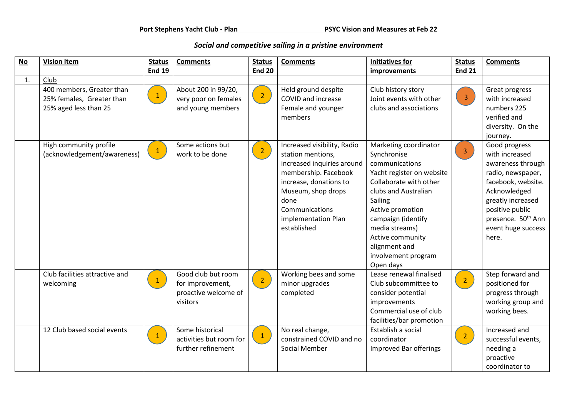## *Social and competitive sailing in a pristine environment*

| <b>No</b> | <b>Vision Item</b>             | <b>Status</b>   | <b>Comments</b>         | <b>Status</b>  | <b>Comments</b>                             | <b>Initiatives for</b>    | <b>Status</b>           | <b>Comments</b>                |
|-----------|--------------------------------|-----------------|-------------------------|----------------|---------------------------------------------|---------------------------|-------------------------|--------------------------------|
|           |                                | <b>End 19</b>   |                         | <b>End 20</b>  |                                             | improvements              | <b>End 21</b>           |                                |
| 1.        | Club                           |                 |                         |                |                                             |                           |                         |                                |
|           | 400 members, Greater than      |                 | About 200 in 99/20,     |                | Held ground despite                         | Club history story        |                         | Great progress                 |
|           | 25% females, Greater than      | $\mathbf{1}$    | very poor on females    | $\overline{2}$ | COVID and increase                          | Joint events with other   | $\overline{\mathbf{3}}$ | with increased                 |
|           | 25% aged less than 25          |                 | and young members       |                | Female and younger                          | clubs and associations    |                         | numbers 225                    |
|           |                                |                 |                         |                | members                                     |                           |                         | verified and                   |
|           |                                |                 |                         |                |                                             |                           |                         | diversity. On the              |
|           |                                |                 |                         |                |                                             |                           |                         | journey.                       |
|           | High community profile         |                 | Some actions but        |                | Increased visibility, Radio                 | Marketing coordinator     |                         | Good progress                  |
|           | (acknowledgement/awareness)    | $\vert 1 \vert$ | work to be done         | $\overline{2}$ | station mentions,                           | Synchronise               | $\overline{3}$          | with increased                 |
|           |                                |                 |                         |                | increased inquiries around                  | communications            |                         | awareness through              |
|           |                                |                 |                         |                | membership. Facebook                        | Yacht register on website |                         | radio, newspaper,              |
|           |                                |                 |                         |                | increase, donations to                      | Collaborate with other    |                         | facebook, website.             |
|           |                                |                 |                         |                | Museum, shop drops                          | clubs and Australian      |                         | Acknowledged                   |
|           |                                |                 |                         |                | done                                        | Sailing                   |                         | greatly increased              |
|           |                                |                 |                         |                | Communications                              | Active promotion          |                         | positive public                |
|           |                                |                 |                         |                | implementation Plan                         | campaign (identify        |                         | presence. 50 <sup>th</sup> Ann |
|           |                                |                 |                         |                | established                                 | media streams)            |                         | event huge success             |
|           |                                |                 |                         |                |                                             | Active community          |                         | here.                          |
|           |                                |                 |                         |                |                                             | alignment and             |                         |                                |
|           |                                |                 |                         |                |                                             | involvement program       |                         |                                |
|           |                                |                 |                         |                |                                             | Open days                 |                         |                                |
|           | Club facilities attractive and |                 | Good club but room      |                | Working bees and some                       | Lease renewal finalised   |                         | Step forward and               |
|           | welcoming                      | $\mathbf{1}$    | for improvement,        | $\overline{2}$ | minor upgrades                              | Club subcommittee to      | $\overline{2}$          | positioned for                 |
|           |                                |                 | proactive welcome of    |                | completed                                   | consider potential        |                         | progress through               |
|           |                                |                 | visitors                |                |                                             | improvements              |                         | working group and              |
|           |                                |                 |                         |                |                                             | Commercial use of club    |                         | working bees.                  |
|           |                                |                 |                         |                |                                             | facilities/bar promotion  |                         |                                |
|           | 12 Club based social events    |                 | Some historical         |                | No real change,                             | Establish a social        |                         | Increased and                  |
|           |                                | $\vert 1 \vert$ | activities but room for |                | $\vert 1 \vert$<br>constrained COVID and no | coordinator               | 2 <sup>7</sup>          | successful events,             |
|           |                                |                 | further refinement      |                | Social Member                               | Improved Bar offerings    |                         | needing a                      |
|           |                                |                 |                         |                |                                             |                           |                         | proactive                      |
|           |                                |                 |                         |                |                                             |                           |                         | coordinator to                 |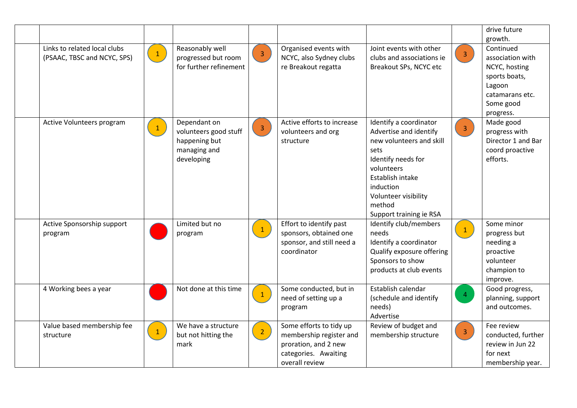|                                                             |              |                                                                                      |                 |                                                                                                                      |                                                                                                                                                                                                                        |                         | drive future<br>growth.                                                                                                |
|-------------------------------------------------------------|--------------|--------------------------------------------------------------------------------------|-----------------|----------------------------------------------------------------------------------------------------------------------|------------------------------------------------------------------------------------------------------------------------------------------------------------------------------------------------------------------------|-------------------------|------------------------------------------------------------------------------------------------------------------------|
| Links to related local clubs<br>(PSAAC, TBSC and NCYC, SPS) | $\mathbf{1}$ | Reasonably well<br>progressed but room<br>for further refinement                     | 3 <sup>7</sup>  | Organised events with<br>NCYC, also Sydney clubs<br>re Breakout regatta                                              | Joint events with other<br>clubs and associations ie<br>Breakout SPs, NCYC etc                                                                                                                                         | 3 <sup>°</sup>          | Continued<br>association with<br>NCYC, hosting<br>sports boats,<br>Lagoon<br>catamarans etc.<br>Some good<br>progress. |
| Active Volunteers program                                   | $\mathbf{1}$ | Dependant on<br>volunteers good stuff<br>happening but<br>managing and<br>developing | $\overline{3}$  | Active efforts to increase<br>volunteers and org<br>structure                                                        | Identify a coordinator<br>Advertise and identify<br>new volunteers and skill<br>sets<br>Identify needs for<br>volunteers<br>Establish intake<br>induction<br>Volunteer visibility<br>method<br>Support training ie RSA | $\overline{\mathbf{3}}$ | Made good<br>progress with<br>Director 1 and Bar<br>coord proactive<br>efforts.                                        |
| Active Sponsorship support<br>program                       |              | Limited but no<br>program                                                            | $\vert 1 \vert$ | Effort to identify past<br>sponsors, obtained one<br>sponsor, and still need a<br>coordinator                        | Identify club/members<br>needs<br>Identify a coordinator<br>Qualify exposure offering<br>Sponsors to show<br>products at club events                                                                                   | $\mathbf{1}$            | Some minor<br>progress but<br>needing a<br>proactive<br>volunteer<br>champion to<br>improve.                           |
| 4 Working bees a year                                       |              | Not done at this time                                                                | $\mathbf{1}$    | Some conducted, but in<br>need of setting up a<br>program                                                            | Establish calendar<br>(schedule and identify<br>needs)<br>Advertise                                                                                                                                                    | $\overline{4}$          | Good progress,<br>planning, support<br>and outcomes.                                                                   |
| Value based membership fee<br>structure                     | $\mathbf{1}$ | We have a structure<br>but not hitting the<br>mark                                   | $\overline{2}$  | Some efforts to tidy up<br>membership register and<br>proration, and 2 new<br>categories. Awaiting<br>overall review | Review of budget and<br>membership structure                                                                                                                                                                           | 3 <sup>7</sup>          | Fee review<br>conducted, further<br>review in Jun 22<br>for next<br>membership year.                                   |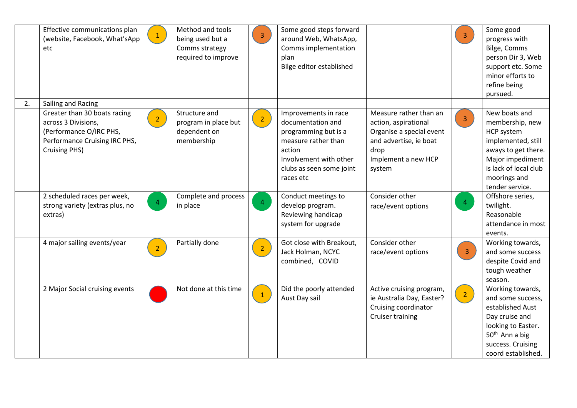|    | Effective communications plan<br>(website, Facebook, What'sApp<br>etc                                                                   | $\mathbf{1}$   | Method and tools<br>being used but a<br>Comms strategy<br>required to improve | $\overline{3}$  | Some good steps forward<br>around Web, WhatsApp,<br>Comms implementation<br>plan<br>Bilge editor established                                                          |                                                                                                                                               | $\overline{3}$ | Some good<br>progress with<br>Bilge, Comms<br>person Dir 3, Web<br>support etc. Some<br>minor efforts to<br>refine being<br>pursued.                                        |
|----|-----------------------------------------------------------------------------------------------------------------------------------------|----------------|-------------------------------------------------------------------------------|-----------------|-----------------------------------------------------------------------------------------------------------------------------------------------------------------------|-----------------------------------------------------------------------------------------------------------------------------------------------|----------------|-----------------------------------------------------------------------------------------------------------------------------------------------------------------------------|
| 2. | Sailing and Racing                                                                                                                      |                |                                                                               |                 |                                                                                                                                                                       |                                                                                                                                               |                |                                                                                                                                                                             |
|    | Greater than 30 boats racing<br>across 3 Divisions,<br>(Performance O/IRC PHS,<br>Performance Cruising IRC PHS,<br><b>Cruising PHS)</b> | $\overline{2}$ | Structure and<br>program in place but<br>dependent on<br>membership           | $\overline{2}$  | Improvements in race<br>documentation and<br>programming but is a<br>measure rather than<br>action<br>Involvement with other<br>clubs as seen some joint<br>races etc | Measure rather than an<br>action, aspirational<br>Organise a special event<br>and advertise, ie boat<br>drop<br>Implement a new HCP<br>system | 3 <sup>7</sup> | New boats and<br>membership, new<br>HCP system<br>implemented, still<br>aways to get there.<br>Major impediment<br>is lack of local club<br>moorings and<br>tender service. |
|    | 2 scheduled races per week,<br>strong variety (extras plus, no<br>extras)                                                               | $\overline{4}$ | Complete and process<br>in place                                              | $\overline{4}$  | Conduct meetings to<br>develop program.<br>Reviewing handicap<br>system for upgrade                                                                                   | Consider other<br>race/event options                                                                                                          | $\overline{4}$ | Offshore series,<br>twilight.<br>Reasonable<br>attendance in most<br>events.                                                                                                |
|    | 4 major sailing events/year                                                                                                             | $\overline{2}$ | Partially done                                                                | 2 <sup>7</sup>  | Got close with Breakout,<br>Jack Holman, NCYC<br>combined, COVID                                                                                                      | Consider other<br>race/event options                                                                                                          | $\overline{3}$ | Working towards,<br>and some success<br>despite Covid and<br>tough weather<br>season.                                                                                       |
|    | 2 Major Social cruising events                                                                                                          |                | Not done at this time                                                         | $\vert 1 \vert$ | Did the poorly attended<br>Aust Day sail                                                                                                                              | Active cruising program,<br>ie Australia Day, Easter?<br>Cruising coordinator<br><b>Cruiser training</b>                                      | $\overline{2}$ | Working towards,<br>and some success,<br>established Aust<br>Day cruise and<br>looking to Easter.<br>50 <sup>th</sup> Ann a big<br>success. Cruising<br>coord established.  |